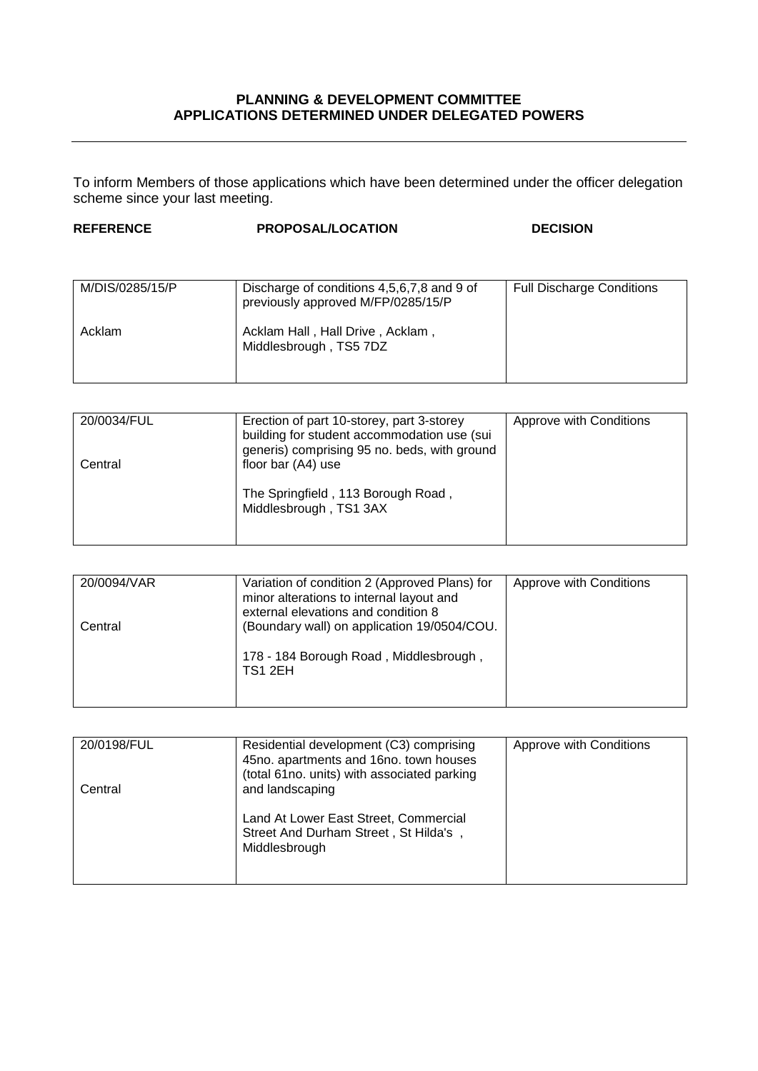## **PLANNING & DEVELOPMENT COMMITTEE APPLICATIONS DETERMINED UNDER DELEGATED POWERS**

To inform Members of those applications which have been determined under the officer delegation scheme since your last meeting.

| <b>REFERENCE</b> | <b>PROPOSAL/LOCATION</b> | <b>DECISION</b> |
|------------------|--------------------------|-----------------|
|                  |                          |                 |

| M/DIS/0285/15/P | Discharge of conditions 4,5,6,7,8 and 9 of<br>previously approved M/FP/0285/15/P | <b>Full Discharge Conditions</b> |
|-----------------|----------------------------------------------------------------------------------|----------------------------------|
| Acklam          | Acklam Hall, Hall Drive, Acklam,<br>Middlesbrough, TS5 7DZ                       |                                  |

| 20/0034/FUL | Erection of part 10-storey, part 3-storey                                                   | Approve with Conditions |
|-------------|---------------------------------------------------------------------------------------------|-------------------------|
|             | building for student accommodation use (sui<br>generis) comprising 95 no. beds, with ground |                         |
| Central     | floor bar (A4) use                                                                          |                         |
|             | The Springfield, 113 Borough Road,<br>Middlesbrough, TS1 3AX                                |                         |

| 20/0094/VAR | Variation of condition 2 (Approved Plans) for<br>minor alterations to internal layout and<br>external elevations and condition 8 | Approve with Conditions |
|-------------|----------------------------------------------------------------------------------------------------------------------------------|-------------------------|
| Central     | (Boundary wall) on application 19/0504/COU.                                                                                      |                         |
|             | 178 - 184 Borough Road, Middlesbrough,<br>TS1 2EH                                                                                |                         |

| 20/0198/FUL | Residential development (C3) comprising<br>45no. apartments and 16no. town houses<br>(total 61no. units) with associated parking | Approve with Conditions |
|-------------|----------------------------------------------------------------------------------------------------------------------------------|-------------------------|
| Central     | and landscaping<br>Land At Lower East Street, Commercial<br>Street And Durham Street, St Hilda's,<br>Middlesbrough               |                         |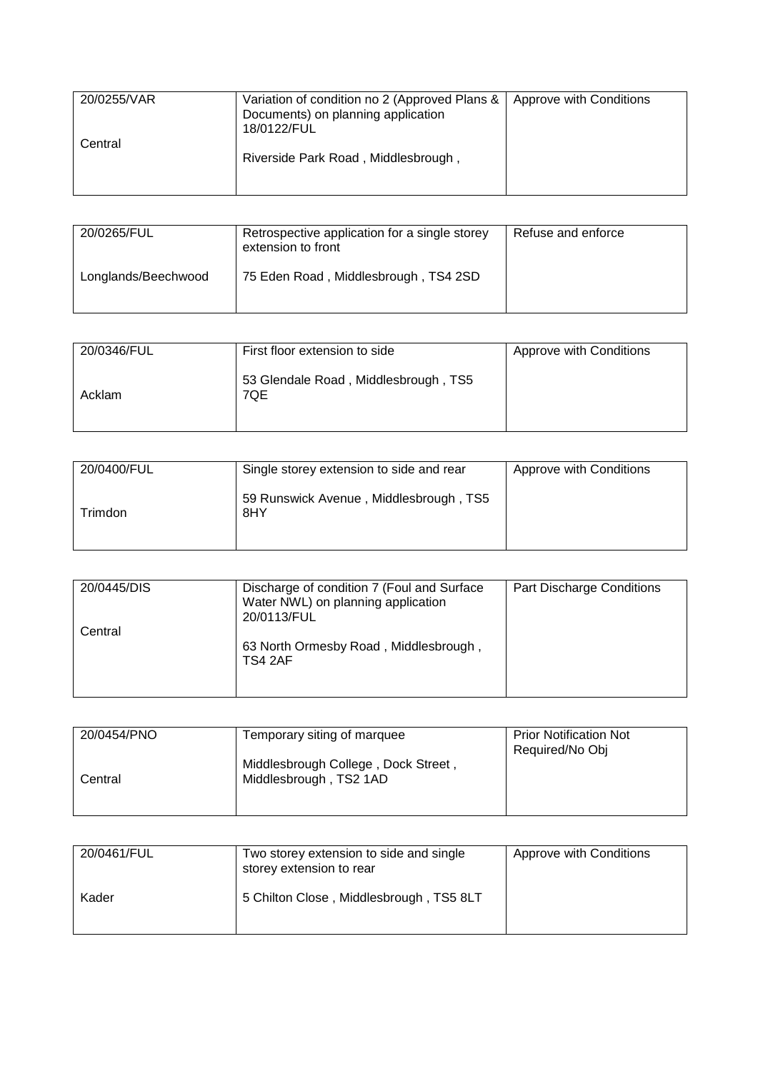| 20/0255/VAR | Variation of condition no 2 (Approved Plans &   Approve with Conditions<br>Documents) on planning application<br>18/0122/FUL |  |
|-------------|------------------------------------------------------------------------------------------------------------------------------|--|
| Central     | Riverside Park Road, Middlesbrough,                                                                                          |  |
|             |                                                                                                                              |  |

| 20/0265/FUL         | Retrospective application for a single storey<br>extension to front | Refuse and enforce |
|---------------------|---------------------------------------------------------------------|--------------------|
| Longlands/Beechwood | 75 Eden Road, Middlesbrough, TS4 2SD                                |                    |

| 20/0346/FUL | First floor extension to side               | Approve with Conditions |
|-------------|---------------------------------------------|-------------------------|
| Acklam      | 53 Glendale Road, Middlesbrough, TS5<br>7QE |                         |

| 20/0400/FUL | Single storey extension to side and rear      | Approve with Conditions |
|-------------|-----------------------------------------------|-------------------------|
| Trimdon     | 59 Runswick Avenue, Middlesbrough, TS5<br>8HY |                         |

| 20/0445/DIS | Discharge of condition 7 (Foul and Surface<br>Water NWL) on planning application<br>20/0113/FUL | Part Discharge Conditions |
|-------------|-------------------------------------------------------------------------------------------------|---------------------------|
| Central     | 63 North Ormesby Road, Middlesbrough,<br>TS4 2AF                                                |                           |

| 20/0454/PNO | Temporary siting of marquee                                   | <b>Prior Notification Not</b><br>Required/No Obj |
|-------------|---------------------------------------------------------------|--------------------------------------------------|
| Central     | Middlesbrough College, Dock Street,<br>Middlesbrough, TS2 1AD |                                                  |
|             |                                                               |                                                  |

| 20/0461/FUL | Two storey extension to side and single<br>storey extension to rear | Approve with Conditions |
|-------------|---------------------------------------------------------------------|-------------------------|
| Kader       | 5 Chilton Close, Middlesbrough, TS5 8LT                             |                         |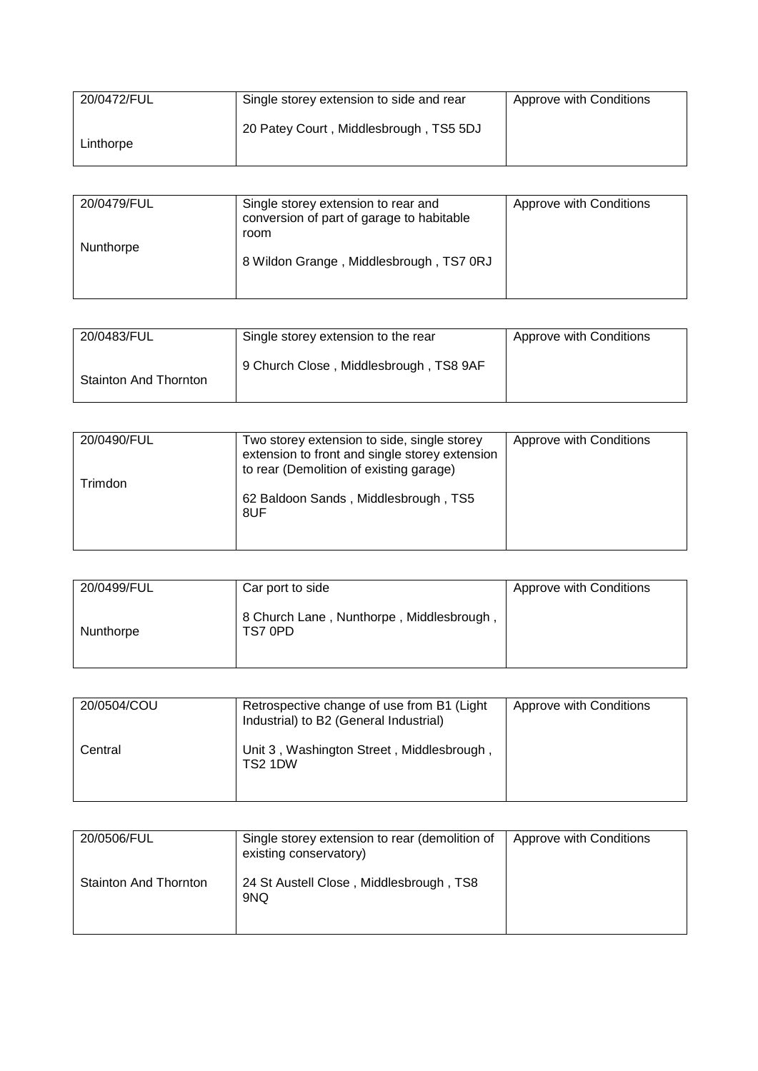| 20/0472/FUL | Single storey extension to side and rear | Approve with Conditions |
|-------------|------------------------------------------|-------------------------|
| Linthorpe   | 20 Patey Court, Middlesbrough, TS5 5DJ   |                         |

| 20/0479/FUL | Single storey extension to rear and<br>conversion of part of garage to habitable<br>room | Approve with Conditions |
|-------------|------------------------------------------------------------------------------------------|-------------------------|
| Nunthorpe   | 8 Wildon Grange, Middlesbrough, TS7 0RJ                                                  |                         |

| 20/0483/FUL                  | Single storey extension to the rear    | Approve with Conditions |
|------------------------------|----------------------------------------|-------------------------|
| <b>Stainton And Thornton</b> | 9 Church Close, Middlesbrough, TS8 9AF |                         |

| 20/0490/FUL | Two storey extension to side, single storey<br>extension to front and single storey extension<br>to rear (Demolition of existing garage) | Approve with Conditions |
|-------------|------------------------------------------------------------------------------------------------------------------------------------------|-------------------------|
| Trimdon     | 62 Baldoon Sands, Middlesbrough, TS5<br>8UF                                                                                              |                         |

| 20/0499/FUL | Car port to side                                    | Approve with Conditions |
|-------------|-----------------------------------------------------|-------------------------|
| Nunthorpe   | 8 Church Lane, Nunthorpe, Middlesbrough,<br>TS7 0PD |                         |

| 20/0504/COU | Retrospective change of use from B1 (Light)<br>Industrial) to B2 (General Industrial) | Approve with Conditions |
|-------------|---------------------------------------------------------------------------------------|-------------------------|
| Central     | Unit 3, Washington Street, Middlesbrough,<br>TS2 1DW                                  |                         |

| 20/0506/FUL           | Single storey extension to rear (demolition of<br>existing conservatory) | Approve with Conditions |
|-----------------------|--------------------------------------------------------------------------|-------------------------|
| Stainton And Thornton | 24 St Austell Close, Middlesbrough, TS8<br>9NQ                           |                         |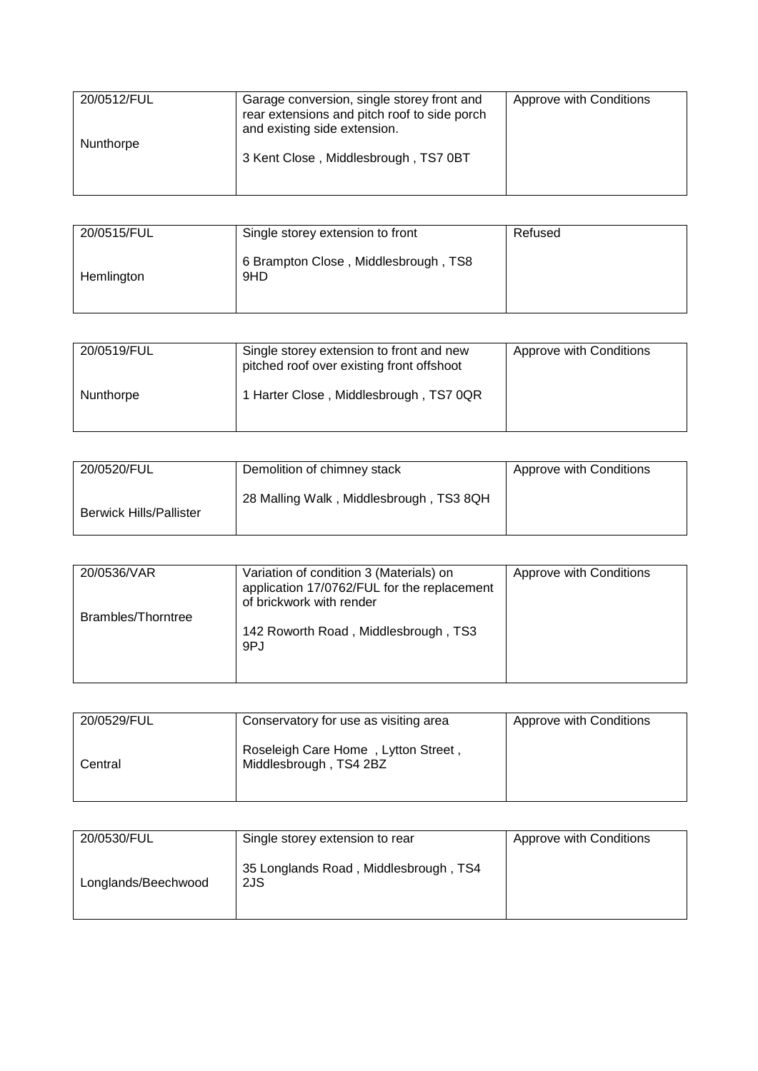| 20/0512/FUL | Garage conversion, single storey front and<br>rear extensions and pitch roof to side porch<br>and existing side extension. | Approve with Conditions |
|-------------|----------------------------------------------------------------------------------------------------------------------------|-------------------------|
| Nunthorpe   | 3 Kent Close, Middlesbrough, TS7 0BT                                                                                       |                         |

| 20/0515/FUL | Single storey extension to front            | Refused |
|-------------|---------------------------------------------|---------|
| Hemlington  | 6 Brampton Close, Middlesbrough, TS8<br>9HD |         |

| 20/0519/FUL | Single storey extension to front and new<br>pitched roof over existing front offshoot | Approve with Conditions |
|-------------|---------------------------------------------------------------------------------------|-------------------------|
| Nunthorpe   | 1 Harter Close, Middlesbrough, TS7 0QR                                                |                         |

| 20/0520/FUL                    | Demolition of chimney stack             | Approve with Conditions |
|--------------------------------|-----------------------------------------|-------------------------|
| <b>Berwick Hills/Pallister</b> | 28 Malling Walk, Middlesbrough, TS3 8QH |                         |

| 20/0536/VAR        | Variation of condition 3 (Materials) on<br>application 17/0762/FUL for the replacement<br>of brickwork with render | Approve with Conditions |
|--------------------|--------------------------------------------------------------------------------------------------------------------|-------------------------|
| Brambles/Thorntree | 142 Roworth Road, Middlesbrough, TS3<br>9PJ                                                                        |                         |

| 20/0529/FUL | Conservatory for use as visiting area                         | Approve with Conditions |
|-------------|---------------------------------------------------------------|-------------------------|
| Central     | Roseleigh Care Home, Lytton Street,<br>Middlesbrough, TS4 2BZ |                         |

| 20/0530/FUL         | Single storey extension to rear              | Approve with Conditions |
|---------------------|----------------------------------------------|-------------------------|
| Longlands/Beechwood | 35 Longlands Road, Middlesbrough, TS4<br>2JS |                         |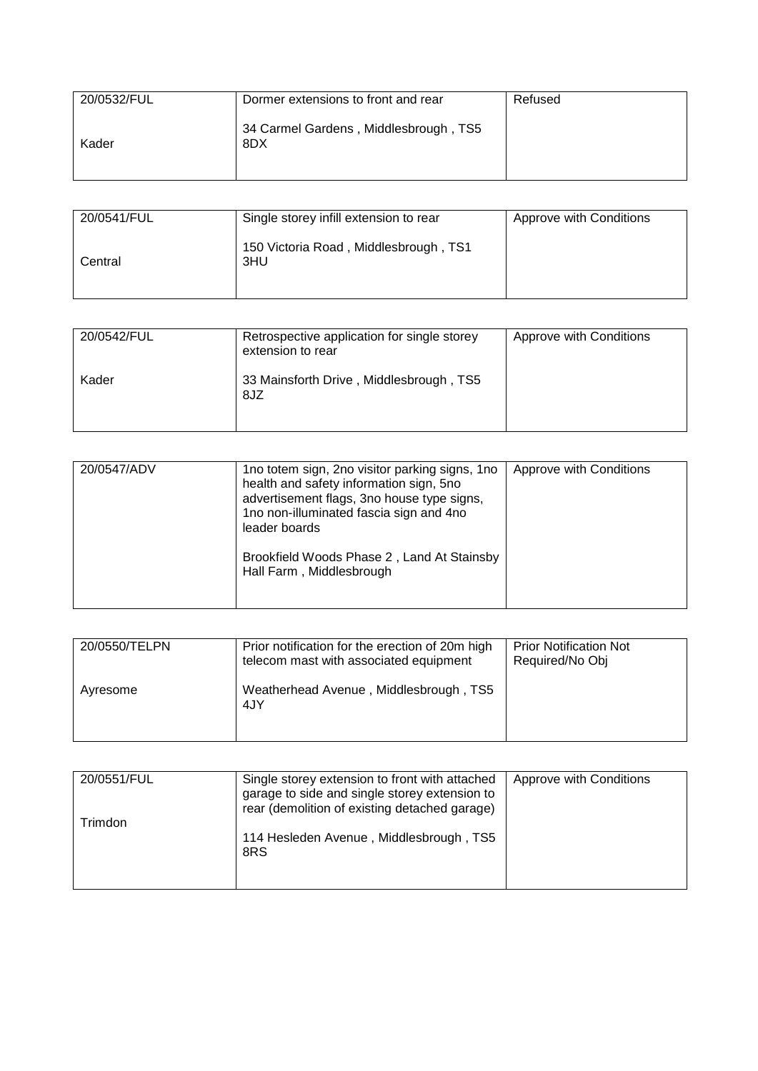| 20/0532/FUL | Dormer extensions to front and rear          | Refused |
|-------------|----------------------------------------------|---------|
| Kader       | 34 Carmel Gardens, Middlesbrough, TS5<br>8DX |         |

| 20/0541/FUL | Single storey infill extension to rear       | Approve with Conditions |
|-------------|----------------------------------------------|-------------------------|
| Central     | 150 Victoria Road, Middlesbrough, TS1<br>3HU |                         |

| 20/0542/FUL | Retrospective application for single storey<br>extension to rear | Approve with Conditions |
|-------------|------------------------------------------------------------------|-------------------------|
| Kader       | 33 Mainsforth Drive, Middlesbrough, TS5<br>8JZ                   |                         |

| 20/0547/ADV | 1no totem sign, 2no visitor parking signs, 1no<br>health and safety information sign, 5no<br>advertisement flags, 3no house type signs,<br>1no non-illuminated fascia sign and 4no<br>leader boards<br>Brookfield Woods Phase 2, Land At Stainsby<br>Hall Farm, Middlesbrough | Approve with Conditions |
|-------------|-------------------------------------------------------------------------------------------------------------------------------------------------------------------------------------------------------------------------------------------------------------------------------|-------------------------|

| 20/0550/TELPN | Prior notification for the erection of 20m high<br>telecom mast with associated equipment | <b>Prior Notification Not</b><br>Required/No Obj |
|---------------|-------------------------------------------------------------------------------------------|--------------------------------------------------|
| Avresome      | Weatherhead Avenue, Middlesbrough, TS5<br>4JY                                             |                                                  |

| 20/0551/FUL | Single storey extension to front with attached<br>garage to side and single storey extension to<br>rear (demolition of existing detached garage) | Approve with Conditions |
|-------------|--------------------------------------------------------------------------------------------------------------------------------------------------|-------------------------|
| Trimdon     | 114 Hesleden Avenue, Middlesbrough, TS5<br>8RS                                                                                                   |                         |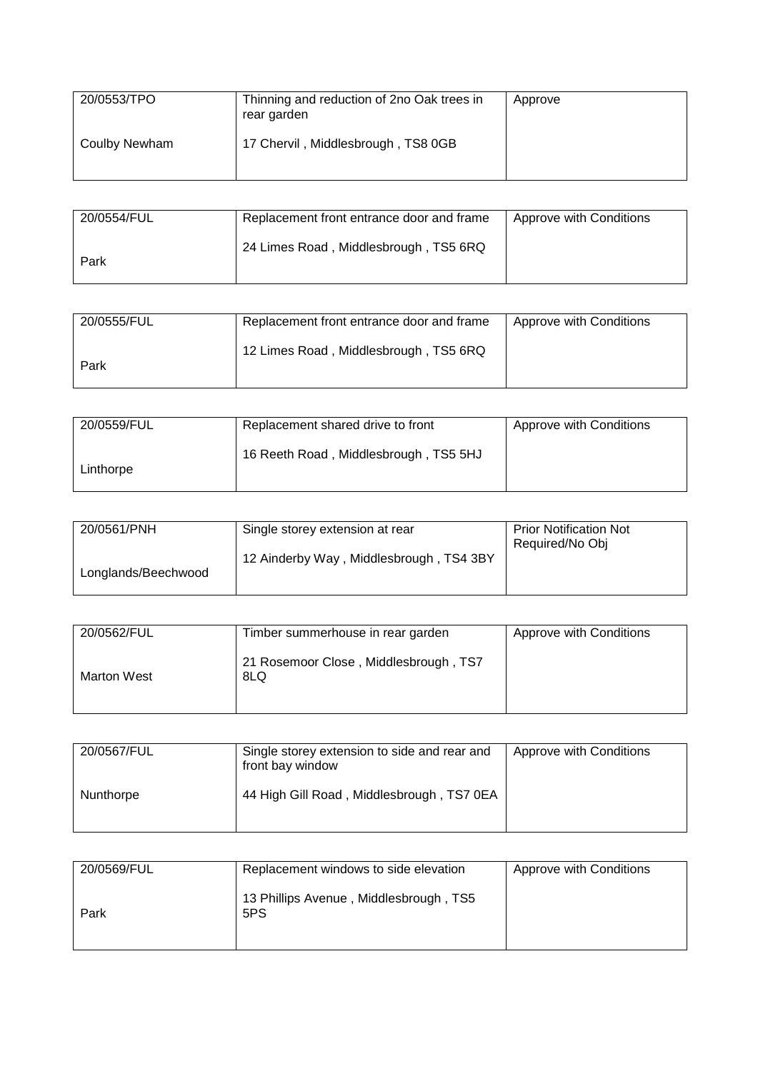| 20/0553/TPO   | Thinning and reduction of 2no Oak trees in<br>rear garden | Approve |
|---------------|-----------------------------------------------------------|---------|
| Coulby Newham | 17 Chervil, Middlesbrough, TS8 0GB                        |         |

| 20/0554/FUL | Replacement front entrance door and frame | Approve with Conditions |
|-------------|-------------------------------------------|-------------------------|
| Park        | 24 Limes Road, Middlesbrough, TS5 6RQ     |                         |

| 20/0555/FUL | Replacement front entrance door and frame | Approve with Conditions |
|-------------|-------------------------------------------|-------------------------|
| Park        | 12 Limes Road, Middlesbrough, TS5 6RQ     |                         |

| 20/0559/FUL | Replacement shared drive to front     | Approve with Conditions |
|-------------|---------------------------------------|-------------------------|
| Linthorpe   | 16 Reeth Road, Middlesbrough, TS5 5HJ |                         |

| 20/0561/PNH         | Single storey extension at rear         | <b>Prior Notification Not</b><br>Required/No Obj |
|---------------------|-----------------------------------------|--------------------------------------------------|
| Longlands/Beechwood | 12 Ainderby Way, Middlesbrough, TS4 3BY |                                                  |

| 20/0562/FUL        | Timber summerhouse in rear garden            | Approve with Conditions |
|--------------------|----------------------------------------------|-------------------------|
| <b>Marton West</b> | 21 Rosemoor Close, Middlesbrough, TS7<br>8LQ |                         |

| 20/0567/FUL | Single storey extension to side and rear and<br>front bay window | Approve with Conditions |
|-------------|------------------------------------------------------------------|-------------------------|
| Nunthorpe   | 44 High Gill Road, Middlesbrough, TS7 0EA                        |                         |

| 20/0569/FUL | Replacement windows to side elevation         | Approve with Conditions |
|-------------|-----------------------------------------------|-------------------------|
| Park        | 13 Phillips Avenue, Middlesbrough, TS5<br>5PS |                         |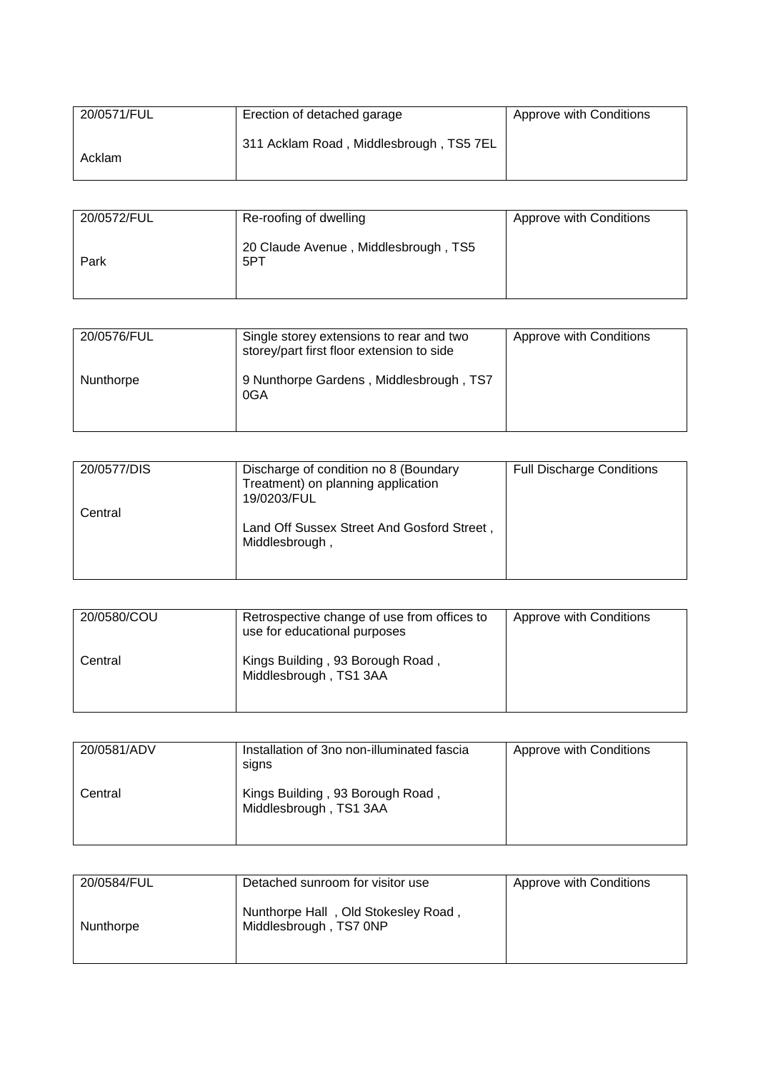| 20/0571/FUL | Erection of detached garage             | Approve with Conditions |
|-------------|-----------------------------------------|-------------------------|
| Acklam      | 311 Acklam Road, Middlesbrough, TS5 7EL |                         |

| 20/0572/FUL | Re-roofing of dwelling                      | Approve with Conditions |
|-------------|---------------------------------------------|-------------------------|
| Park        | 20 Claude Avenue, Middlesbrough, TS5<br>5PT |                         |

| 20/0576/FUL | Single storey extensions to rear and two<br>storey/part first floor extension to side | Approve with Conditions |
|-------------|---------------------------------------------------------------------------------------|-------------------------|
| Nunthorpe   | 9 Nunthorpe Gardens, Middlesbrough, TS7<br>0GA                                        |                         |

| 20/0577/DIS | Discharge of condition no 8 (Boundary<br>Treatment) on planning application | <b>Full Discharge Conditions</b> |
|-------------|-----------------------------------------------------------------------------|----------------------------------|
|             | 19/0203/FUL                                                                 |                                  |
| Central     |                                                                             |                                  |
|             | Land Off Sussex Street And Gosford Street,<br>Middlesbrough,                |                                  |
|             |                                                                             |                                  |

| 20/0580/COU | Retrospective change of use from offices to<br>use for educational purposes | Approve with Conditions |
|-------------|-----------------------------------------------------------------------------|-------------------------|
| Central     | Kings Building, 93 Borough Road,<br>Middlesbrough, TS1 3AA                  |                         |

| 20/0581/ADV | Installation of 3no non-illuminated fascia<br>signs        | Approve with Conditions |
|-------------|------------------------------------------------------------|-------------------------|
| Central     | Kings Building, 93 Borough Road,<br>Middlesbrough, TS1 3AA |                         |

| 20/0584/FUL | Detached sunroom for visitor use                              | Approve with Conditions |
|-------------|---------------------------------------------------------------|-------------------------|
| Nunthorpe   | Nunthorpe Hall, Old Stokesley Road,<br>Middlesbrough, TS7 0NP |                         |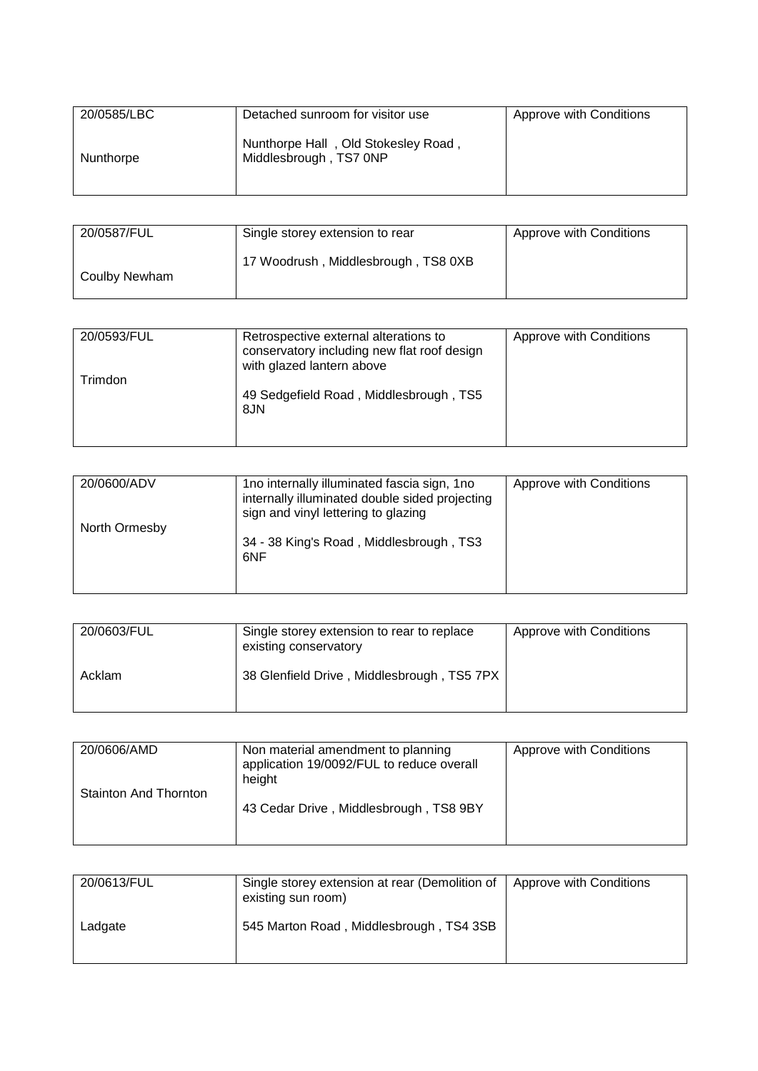| 20/0585/LBC | Detached sunroom for visitor use                              | Approve with Conditions |
|-------------|---------------------------------------------------------------|-------------------------|
| Nunthorpe   | Nunthorpe Hall, Old Stokesley Road,<br>Middlesbrough, TS7 0NP |                         |

| 20/0587/FUL   | Single storey extension to rear     | Approve with Conditions |
|---------------|-------------------------------------|-------------------------|
| Coulby Newham | 17 Woodrush, Middlesbrough, TS8 0XB |                         |

| 20/0593/FUL | Retrospective external alterations to<br>conservatory including new flat roof design<br>with glazed lantern above | Approve with Conditions |
|-------------|-------------------------------------------------------------------------------------------------------------------|-------------------------|
| Trimdon     | 49 Sedgefield Road, Middlesbrough, TS5<br>8JN                                                                     |                         |

| 20/0600/ADV   | 1no internally illuminated fascia sign, 1no<br>internally illuminated double sided projecting<br>sign and vinyl lettering to glazing | Approve with Conditions |
|---------------|--------------------------------------------------------------------------------------------------------------------------------------|-------------------------|
| North Ormesby | 34 - 38 King's Road, Middlesbrough, TS3<br>6NF                                                                                       |                         |

| 20/0603/FUL | Single storey extension to rear to replace<br>existing conservatory | Approve with Conditions |
|-------------|---------------------------------------------------------------------|-------------------------|
| Acklam      | 38 Glenfield Drive, Middlesbrough, TS5 7PX                          |                         |

| 20/0606/AMD           | Non material amendment to planning<br>application 19/0092/FUL to reduce overall<br>height | Approve with Conditions |
|-----------------------|-------------------------------------------------------------------------------------------|-------------------------|
| Stainton And Thornton | 43 Cedar Drive, Middlesbrough, TS8 9BY                                                    |                         |

| 20/0613/FUL | Single storey extension at rear (Demolition of<br>existing sun room) | Approve with Conditions |
|-------------|----------------------------------------------------------------------|-------------------------|
| Ladgate     | 545 Marton Road, Middlesbrough, TS4 3SB                              |                         |